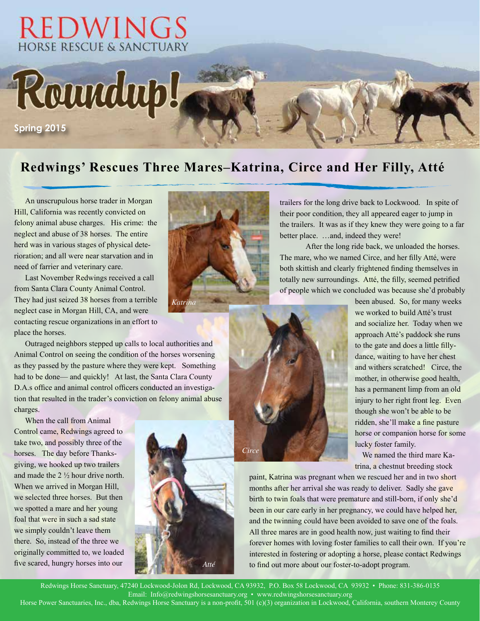

### **Redwings' Rescues Three Mares–Katrina, Circe and Her Filly, Atté**

An unscrupulous horse trader in Morgan Hill, California was recently convicted on felony animal abuse charges. His crime: the neglect and abuse of 38 horses. The entire herd was in various stages of physical deterioration; and all were near starvation and in need of farrier and veterinary care.

Last November Redwings received a call from Santa Clara County Animal Control. They had just seized 38 horses from a terrible neglect case in Morgan Hill, CA, and were contacting rescue organizations in an effort to place the horses.

Outraged neighbors stepped up calls to local authorities and Animal Control on seeing the condition of the horses worsening as they passed by the pasture where they were kept. Something had to be done— and quickly! At last, the Santa Clara County D.A.s office and animal control officers conducted an investigation that resulted in the trader's conviction on felony animal abuse charges.

When the call from Animal Control came, Redwings agreed to take two, and possibly three of the horses. The day before Thanksgiving, we hooked up two trailers and made the 2 ½ hour drive north. When we arrived in Morgan Hill, we selected three horses. But then we spotted a mare and her young foal that were in such a sad state we simply couldn't leave them there. So, instead of the three we originally committed to, we loaded five scared, hungry horses into our



totally new surroundings. Atté, the filly, seemed petrified of people which we concluded was because she'd probably been abused. So, for many weeks

trailers for the long drive back to Lockwood. In spite of their poor condition, they all appeared eager to jump in the trailers. It was as if they knew they were going to a far

The mare, who we named Circe, and her filly Atté, were both skittish and clearly frightened finding themselves in

After the long ride back, we unloaded the horses.

better place. …and, indeed they were!

we worked to build Atté's trust and socialize her. Today when we approach Atté's paddock she runs to the gate and does a little fillydance, waiting to have her chest and withers scratched! Circe, the mother, in otherwise good health, has a permanent limp from an old injury to her right front leg. Even though she won't be able to be ridden, she'll make a fine pasture horse or companion horse for some lucky foster family.

We named the third mare Katrina, a chestnut breeding stock

paint, Katrina was pregnant when we rescued her and in two short months after her arrival she was ready to deliver. Sadly she gave birth to twin foals that were premature and still-born, if only she'd been in our care early in her pregnancy, we could have helped her, and the twinning could have been avoided to save one of the foals. All three mares are in good health now, just waiting to find their forever homes with loving foster families to call their own. If you're interested in fostering or adopting a horse, please contact Redwings to find out more about our foster-to-adopt program.

Redwings Horse Sanctuary, 47240 Lockwood-Jolon Rd, Lockwood, CA 93932, P.O. Box 58 Lockwood, CA 93932 • Phone: 831-386-0135 Email: Info@redwingshorsesanctuary.org • www.redwingshorsesanctuary.org

*Atté*

Horse Power Sanctuaries, Inc., dba, Redwings Horse Sanctuary is a non-profit, 501 (c)(3) organization in Lockwood, California, southern Monterey County

*Circe*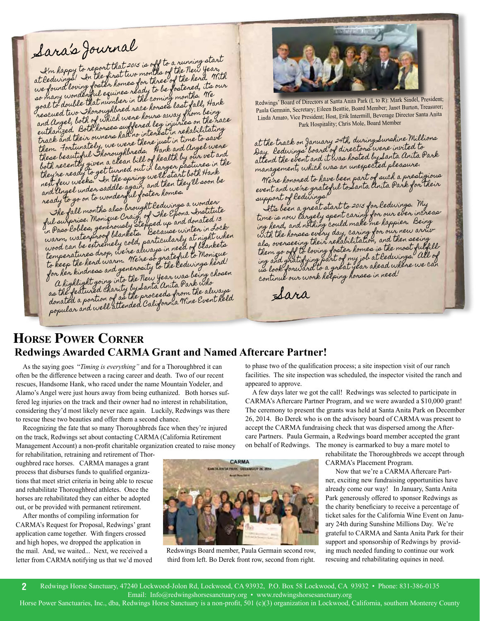# Sara's Journal

It is the report that 2015 is off to a running start I'm happy to report that 2013 as of the New Year,<br>at Redwings! In the first two months of the herd, Wit at Redurings! In the first two months of the herd. With<br>we found loving foster homes for three of the herd, its our<br>we found wanderful equines ready to be fostered, the we found loving foster homes for ince<br>so many wonderful equines ready to be fostered, its our<br>so many who that at number in the coming months. We shake so many wonderful equines really a coming months. We<br>goal to double that number in the coming months. We<br>rescued two Thoroughbred race howes away from being hese ued two shoroughbred nave now away from being<br>and Angel, both of which were hours away from the ra<br>and Angel and Both horses suffered leg injuries on it to two and Angel, both of which were hower and any on the race<br>euthanized. Both horses suffered leg injuries on the race<br>track and their owners had no interest in rehabilitating them. Fortunately, we were there just in time to save them. Fortunately, we were there fark and Angel were<br>these beautiful Shoroughbreds. Hank and Angel were these beautiful "Thoroughbreas." Hind they our vet and<br>both recently given a clean bill of health by our vet and hoth recently given a clean bill of health pastures in the<br>they're ready to get turned out in larger pastures in the they're ready to get turned out in in growth thank<br>net few weeks. In the spring we'll start both Hank<br>net fame bunder saddle again, and then they'll soon be neft few weeks. In the spring were in they'll soon be<br>and Ungel under saddle again, and then they'll soon be and Ungel under summer of the foster homes.<br>ready to go on to wonderful foster homes.

The fall months also brought Redwings a wonder The fall months also brought remining on a Institute<br>ful surprise. Monique Craig, of The Epona Institute<br>in Paso Robles, generously stepped up and donated 13 warm, waterproof blankets. Because winter in Lock-<br>warm, waterproof blankets. Because winter in Lockwood can be extremely cold, particularly at night when temperatures drop, we're always in need of blankets tempenatures drop, we're advage insterul to Monique<br>to keep the herd warm. We're so grateful to Monique to keep the hend warm. We're so ghin bedwings hend!<br>for her kindness and generosity to the ledwings choser n hen kindness and generalisty<br>a highlight going into the New Year was being chosen<br>the file the rad charity by Santa Anita Park Window a highlight going into the new a dinita Park who<br>as the featured charity by Santa Anita Park who<br>donated a portion of as the proceeds from the always anated a portion of as the proceeds grams are Event held<br>popular and well attended California Wine Event held



Redwings' Board of Directors at Santa Anita Park (L to R): Mark Sindel, President; Paula Germain, Secretary; Eileen Beattie, Board Member; Janet Burton, Treasurer; Linda Amato, Vice President; Host, Erik Intermill, Beverage Director Santa Anita Park Hospitality; Chris Mole, Board Member

at the track on January 24th, during Sunshine Millions at the track on families of directors were invited to<br>Day. Redwings' board of directors were invited to<br>attend the event and it was hosted by Lanta Anita Park management, which was an unexpected pleasure.

We're honored to have been part of such a prestigious event and we're grateful to Santa Anita Park for their support of Redwings!

It's been a great start to 2015 for Redwings. My time is now largely spent caring for our ever increasing herd, and nothing could make me happier. Being with the horses every day, caring for our new arrivals, overseeing their rehabilitation, and then seeing als, overseeing incommunications.<br>them go off to loving foster homes is the most fulfillthem go over to loving stationary job at ledwings. All of<br>ing and gratifying part of my job at ledwings. All of us look forward to a great year ahead where we can continue our work helping horses in need!

–Sara

### **Horse Power Corner Redwings Awarded CARMA Grant and Named Aftercare Partner!**

As the saying goes "*Timing is everything"* and for a Thoroughbred it can often be the difference between a racing career and death. Two of our recent rescues, Handsome Hank, who raced under the name Mountain Yodeler, and Alamo's Angel were just hours away from being euthanized. Both horses suffered leg injuries on the track and their owner had no interest in rehabilitation, considering they'd most likely never race again. Luckily, Redwings was there to rescue these two beauties and offer them a second chance.

Recognizing the fate that so many Thoroughbreds face when they're injured on the track, Redwings set about contacting CARMA (California Retirement Management Account) a non-profit charitable organization created to raise money

for rehabilitation, retraining and retirement of Thoroughbred race horses. CARMA manages a grant process that disburses funds to qualified organizations that meet strict criteria in being able to rescue and rehabilitate Thoroughbred athletes. Once the horses are rehabilitated they can either be adopted out, or be provided with permanent retirement.

After months of compiling information for CARMA's Request for Proposal, Redwings' grant application came together. With fingers crossed and high hopes, we dropped the application in the mail. And, we waited... Next, we received a letter from CARMA notifying us that we'd moved



Redswings Board member, Paula Germain second row, third from left. Bo Derek front row, second from right.

to phase two of the qualification process; a site inspection visit of our ranch facilities. The site inspection was scheduled, the inspector visited the ranch and appeared to approve.

A few days later we got the call! Redwings was selected to participate in CARMA's Aftercare Partner Program, and we were awarded a \$10,000 grant! The ceremony to present the grants was held at Santa Anita Park on December 26, 2014. Bo Derek who is on the advisory board of CARMA was present to accept the CARMA fundraising check that was dispersed among the Aftercare Partners. Paula Germain, a Redwings board member accepted the grant on behalf of Redwings. The money is earmarked to buy a mare motel to

> rehabilitate the Thoroughbreds we accept through CARMA's Placement Program.

> Now that we're a CARMA Aftercare Partner, exciting new fundraising opportunities have already come our way! In January, Santa Anita Park generously offered to sponsor Redwings as the charity beneficiary to receive a percentage of ticket sales for the California Wine Event on January 24th during Sunshine Millions Day. We're grateful to CARMA and Santa Anita Park for their support and sponsorship of Redwings by providing much needed funding to continue our work rescuing and rehabilitating equines in need.

Redwings Horse Sanctuary, 47240 Lockwood-Jolon Rd, Lockwood, CA 93932, P.O. Box 58 Lockwood, CA 93932 • Phone: 831-386-0135 Email: Info@redwingshorsesanctuary.org • www.redwingshorsesanctuary.org **2**

Horse Power Sanctuaries, Inc., dba, Redwings Horse Sanctuary is a non-profit, 501 (c)(3) organization in Lockwood, California, southern Monterey County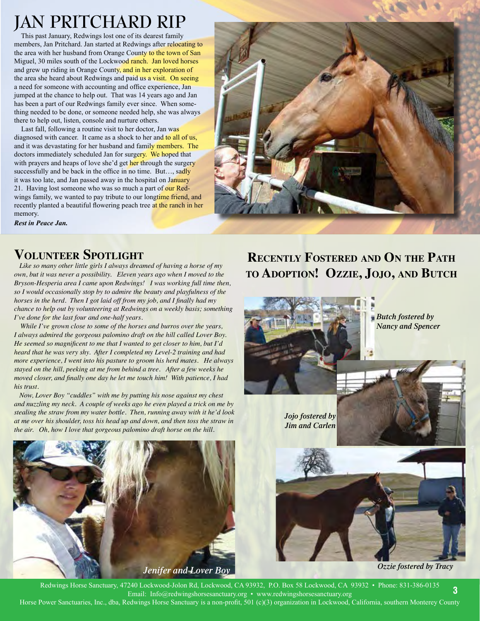## **JAN PRITCHARD RIP**

 This past January, Redwings lost one of its dearest family members, Jan Pritchard. Jan started at Redwings after relocating to the area with her husband from Orange County to the town of San Miguel, 30 miles south of the Lockwood ranch. Jan loved horses and grew up riding in Orange County, and in her exploration of the area she heard about Redwings and paid us a visit. On seeing a need for someone with accounting and office experience, Jan jumped at the chance to help out. That was 14 years ago and Jan has been a part of our Redwings family ever since. When something needed to be done, or someone needed help, she was always there to help out, listen, console and nurture others.

Last fall, following a routine visit to her doctor, Jan was diagnosed with cancer. It came as a shock to her and to all of us, and it was devastating for her husband and family members. The doctors immediately scheduled Jan for surgery. We hoped that with prayers and heaps of love she'd get her through the surgery successfully and be back in the office in no time. But..., sadly it was too late, and Jan passed away in the hospital on January 21. Having lost someone who was so much a part of our Redwings family, we wanted to pay tribute to our longtime friend, and recently planted a beautiful flowering peach tree at the ranch in her memory.



*Rest in Peace Jan.*

# **VOLUNTEER SPOTLIGHT**<br>*Like so many other little girls I always dreamed of having a horse of my*

*own, but it was never a possibility. Eleven years ago when I moved to the Bryson-Hesperia area I came upon Redwings! I was working full time then, so I would occasionally stop by to admire the beauty and playfulness of the horses in the herd. Then I got laid off from my job, and I finally had my chance to help out by volunteering at Redwings on a weekly basis; something I've done for the last four and one-half years.* 

*While I've grown close to some of the horses and burros over the years, I always admired the gorgeous palomino draft on the hill called Lover Boy. He seemed so magnificent to me that I wanted to get closer to him, but I'd heard that he was very shy. After I completed my Level-2 training and had more experience, I went into his pasture to groom his herd mates. He always stayed on the hill, peeking at me from behind a tree. After a few weeks he moved closer, and finally one day he let me touch him! With patience, I had his trust.* 

 *Now, Lover Boy "cuddles" with me by putting his nose against my chest and nuzzling my neck. A couple of weeks ago he even played a trick on me by stealing the straw from my water bottle. Then, running away with it he'd look at me over his shoulder, toss his head up and down, and then toss the straw in the air. Oh, how I love that gorgeous palomino draft horse on the hill.* 



**Recently Fostered and On the Path to Adoption! Ozzie, Jojo, and Butch**



*Butch fostered by Nancy and Spencer*

*Jojo fostered by Jim and Carlen*



Redwings Horse Sanctuary, 47240 Lockwood-Jolon Rd, Lockwood, CA 93932, P.O. Box 58 Lockwood, CA 93932 • Phone: 831-386-0135 Email: Info@redwingshorsesanctuary.org • www.redwingshorsesanctuary.org Horse Power Sanctuaries, Inc., dba, Redwings Horse Sanctuary is a non-profit, 501 (c)(3) organization in Lockwood, California, southern Monterey County **3**